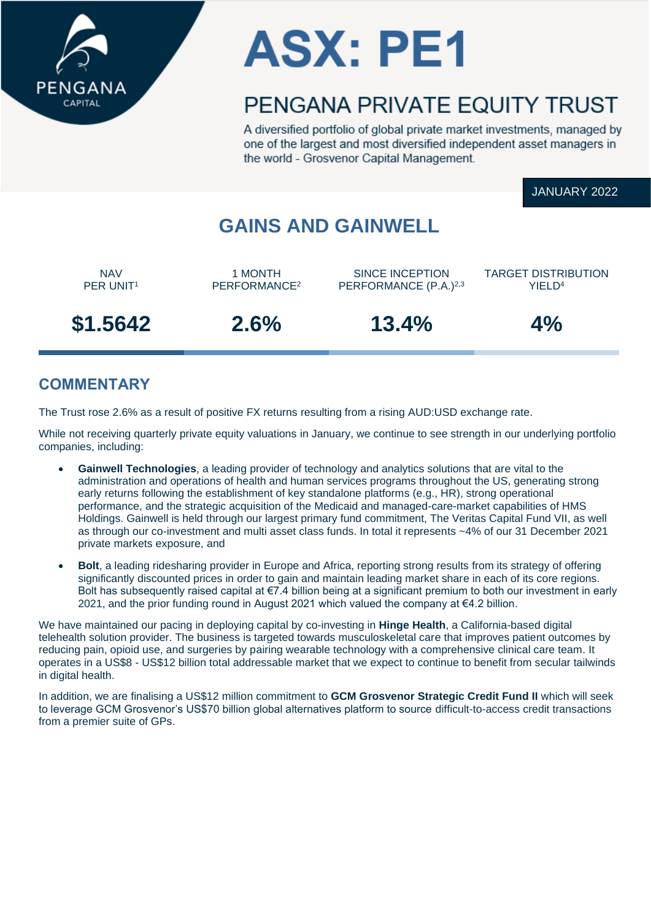

# **ASX: PE1**

## PENGANA PRIVATE FOUITY TRUST

A diversified portfolio of global private market investments, managed by one of the largest and most diversified independent asset managers in the world - Grosvenor Capital Management.

JANUARY 2022

## **GAINS AND GAINWELL**

NAV PER UNIT<sup>1</sup>

1 MONTH PERFORMANCE<sup>2</sup>

SINCE INCEPTION PERFORMANCE (P.A.)2,3 TARGET DISTRIBUTION YIFI<sub>D<sup>4</sup></sub>

**\$1.5642 2.6% 13.4% 4%**

## **COMMENTARY**

The Trust rose 2.6% as a result of positive FX returns resulting from a rising AUD:USD exchange rate.

While not receiving quarterly private equity valuations in January, we continue to see strength in our underlying portfolio companies, including:

- **Gainwell Technologies**, a leading provider of technology and analytics solutions that are vital to the administration and operations of health and human services programs throughout the US, generating strong early returns following the establishment of key standalone platforms (e.g., HR), strong operational performance, and the strategic acquisition of the Medicaid and managed-care-market capabilities of HMS Holdings. Gainwell is held through our largest primary fund commitment, The Veritas Capital Fund VII, as well as through our co-investment and multi asset class funds. In total it represents ~4% of our 31 December 2021 private markets exposure, and
- **Bolt**, a leading ridesharing provider in Europe and Africa, reporting strong results from its strategy of offering significantly discounted prices in order to gain and maintain leading market share in each of its core regions. Bolt has subsequently raised capital at €7.4 billion being at a significant premium to both our investment in early 2021, and the prior funding round in August 2021 which valued the company at €4.2 billion.

We have maintained our pacing in deploying capital by co-investing in **Hinge Health**, a California-based digital telehealth solution provider. The business is targeted towards musculoskeletal care that improves patient outcomes by reducing pain, opioid use, and surgeries by pairing wearable technology with a comprehensive clinical care team. It operates in a US\$8 - US\$12 billion total addressable market that we expect to continue to benefit from secular tailwinds in digital health.

In addition, we are finalising a US\$12 million commitment to **GCM Grosvenor Strategic Credit Fund II** which will seek to leverage GCM Grosvenor's US\$70 billion global alternatives platform to source difficult-to-access credit transactions from a premier suite of GPs.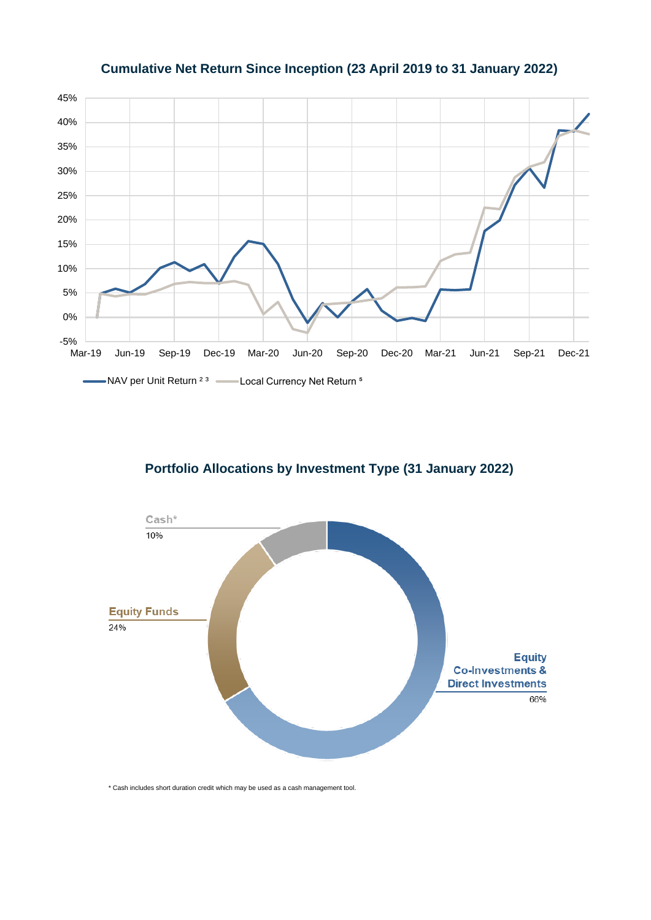## 45% 40% 35% 30% 25% 20% 15% 10% 5% 0% -5%<br>Mar-19 Mar-19 Jun-19 Sep-19 Dec-19 Mar-20 Jun-20 Sep-20 Dec-20 Mar-21 Jun-21 Sep-21 Dec-21 -NAV per Unit Return <sup>2 3</sup> -- Local Currency Net Return <sup>5</sup>  $\overline{\phantom{0}}$

#### **Cumulative Net Return Since Inception (23 April 2019 to 31 January 2022)**

#### **Portfolio Allocations by Investment Type (31 January 2022)**



\* Cash includes short duration credit which may be used as a cash management tool.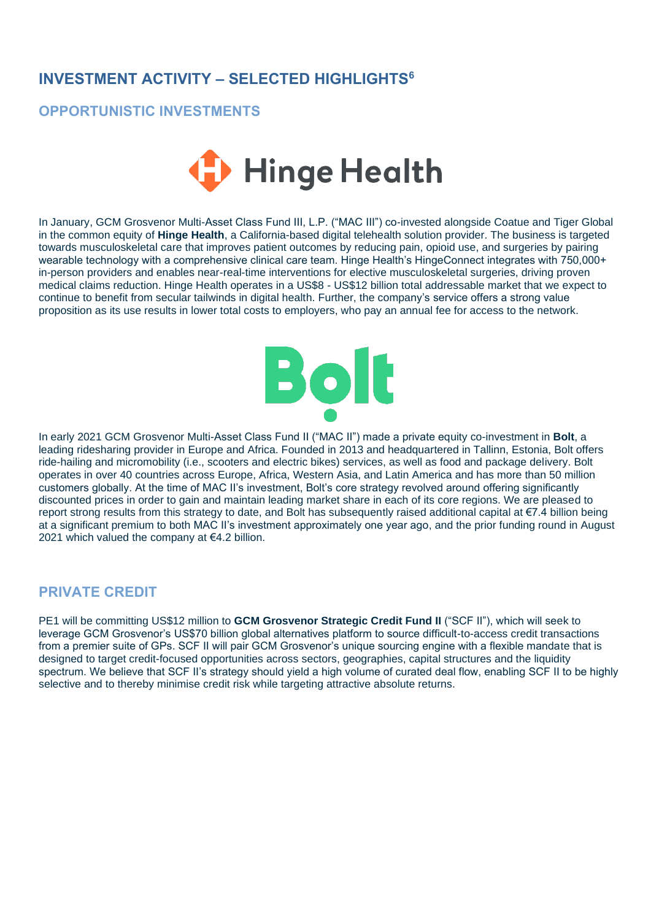### **INVESTMENT ACTIVITY – SELECTED HIGHLIGHTS<sup>6</sup>**

#### **OPPORTUNISTIC INVESTMENTS**



In January, GCM Grosvenor Multi-Asset Class Fund III, L.P. ("MAC III") co-invested alongside Coatue and Tiger Global in the common equity of **Hinge Health**, a California-based digital telehealth solution provider. The business is targeted towards musculoskeletal care that improves patient outcomes by reducing pain, opioid use, and surgeries by pairing wearable technology with a comprehensive clinical care team. Hinge Health's HingeConnect integrates with 750,000+ in-person providers and enables near-real-time interventions for elective musculoskeletal surgeries, driving proven medical claims reduction. Hinge Health operates in a US\$8 - US\$12 billion total addressable market that we expect to continue to benefit from secular tailwinds in digital health. Further, the company's service offers a strong value proposition as its use results in lower total costs to employers, who pay an annual fee for access to the network.



In early 2021 GCM Grosvenor Multi-Asset Class Fund II ("MAC II") made a private equity co-investment in **Bolt**, a leading ridesharing provider in Europe and Africa. Founded in 2013 and headquartered in Tallinn, Estonia, Bolt offers ride-hailing and micromobility (i.e., scooters and electric bikes) services, as well as food and package delivery. Bolt operates in over 40 countries across Europe, Africa, Western Asia, and Latin America and has more than 50 million customers globally. At the time of MAC II's investment, Bolt's core strategy revolved around offering significantly discounted prices in order to gain and maintain leading market share in each of its core regions. We are pleased to report strong results from this strategy to date, and Bolt has subsequently raised additional capital at €7.4 billion being at a significant premium to both MAC II's investment approximately one year ago, and the prior funding round in August 2021 which valued the company at €4.2 billion.

#### **PRIVATE CREDIT**

PE1 will be committing US\$12 million to **GCM Grosvenor Strategic Credit Fund II** ("SCF II"), which will seek to leverage GCM Grosvenor's US\$70 billion global alternatives platform to source difficult-to-access credit transactions from a premier suite of GPs. SCF II will pair GCM Grosvenor's unique sourcing engine with a flexible mandate that is designed to target credit-focused opportunities across sectors, geographies, capital structures and the liquidity spectrum. We believe that SCF II's strategy should yield a high volume of curated deal flow, enabling SCF II to be highly selective and to thereby minimise credit risk while targeting attractive absolute returns.